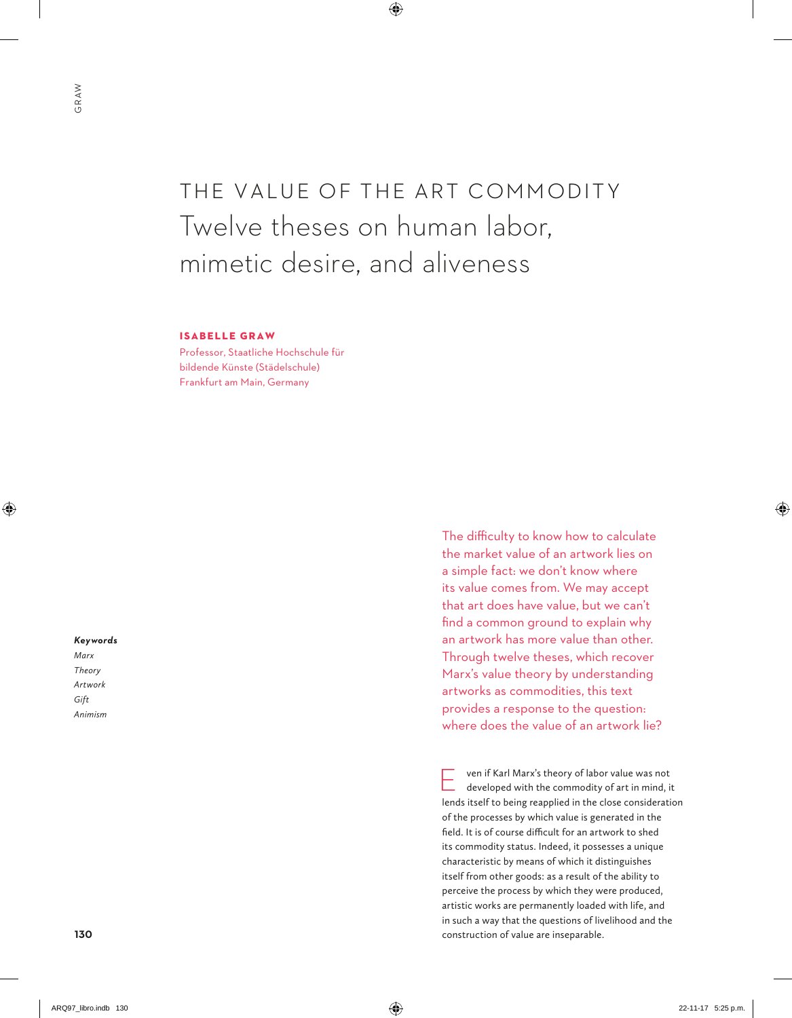# The value of The arT commodiTy Twelve theses on human labor, mimetic desire, and aliveness

## **isabEllE Graw**

Professor, Staatliche Hochschule für bildende Künste (Städelschule) Frankfurt am Main, Germany

*Keywords*

**130**Gradition<br>Theo<br>Artw<br>130 *Marx Theory Artwork Gift Animism*

The difficulty to know how to calculate the market value of an artwork lies on a simple fact: we don't know where its value comes from. We may accept that art does have value, but we can't find a common ground to explain why an artwork has more value than other. Through twelve theses, which recover Marx's value theory by understanding artworks as commodities, this text provides a response to the question: where does the value of an artwork lie?

E ven if Karl Marx's theory of labor value was not developed with the commodity of art in mind, it lends itself to being reapplied in the close consideration of the processes by which value is generated in the field. It is of course difficult for an artwork to shed its commodity status. Indeed, it possesses a unique characteristic by means of which it distinguishes itself from other goods: as a result of the ability to perceive the process by which they were produced, artistic works are permanently loaded with life, and in such a way that the questions of livelihood and the construction of value are inseparable.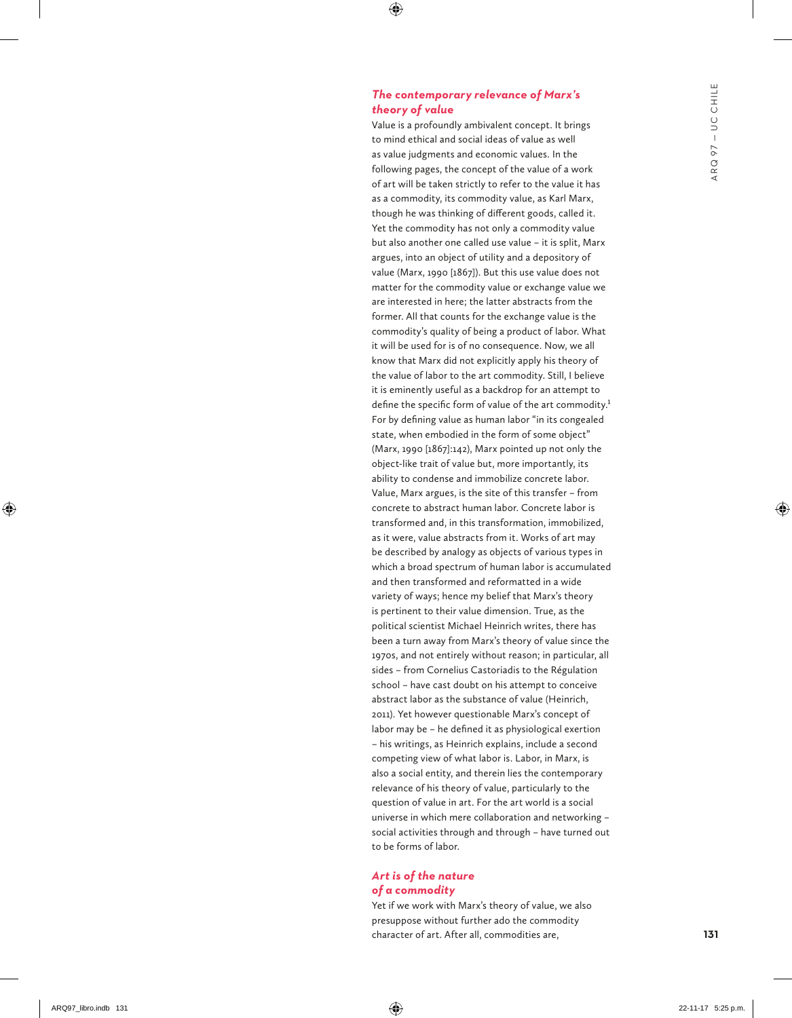# *The contemporary relevance of Marx's theory of value*

Value is a profoundly ambivalent concept. It brings to mind ethical and social ideas of value as well as value judgments and economic values. In the following pages, the concept of the value of a work of art will be taken strictly to refer to the value it has as a commodity, its commodity value, as Karl Marx, though he was thinking of different goods, called it. Yet the commodity has not only a commodity value but also another one called use value – it is split, Marx argues, into an object of utility and a depository of value (Marx, 1990 [1867]). But this use value does not matter for the commodity value or exchange value we are interested in here; the latter abstracts from the former. All that counts for the exchange value is the commodity's quality of being a product of labor. What it will be used for is of no consequence. Now, we all know that Marx did not explicitly apply his theory of the value of labor to the art commodity. Still, I believe it is eminently useful as a backdrop for an attempt to define the specific form of value of the art commodity.<sup>1</sup> For by defining value as human labor "in its congealed state, when embodied in the form of some object" (Marx, 1990 [1867]:142), Marx pointed up not only the object-like trait of value but, more importantly, its ability to condense and immobilize concrete labor. Value, Marx argues, is the site of this transfer – from concrete to abstract human labor. Concrete labor is transformed and, in this transformation, immobilized, as it were, value abstracts from it. Works of art may be described by analogy as objects of various types in which a broad spectrum of human labor is accumulated and then transformed and reformatted in a wide variety of ways; hence my belief that Marx's theory is pertinent to their value dimension. True, as the political scientist Michael Heinrich writes, there has been a turn away from Marx's theory of value since the 1970s, and not entirely without reason; in particular, all sides – from Cornelius Castoriadis to the Régulation school – have cast doubt on his attempt to conceive abstract labor as the substance of value (Heinrich, 2011). Yet however questionable Marx's concept of labor may be – he defined it as physiological exertion – his writings, as Heinrich explains, include a secon d competing view of what labor is. Labor, in Marx, i s also a social entity, and therein lies the contemporary relevance of his theory of value, particularly to th e question of value in art. For the art world is a socia l universe in which mere collaboration and networking – social activities through and through – have turned out to be forms of labor.

### *Art is of the nature of a commodity*

Yet if we work with Marx's theory of value, we also presuppose without further ado the commodity character of art. After all, commodities are,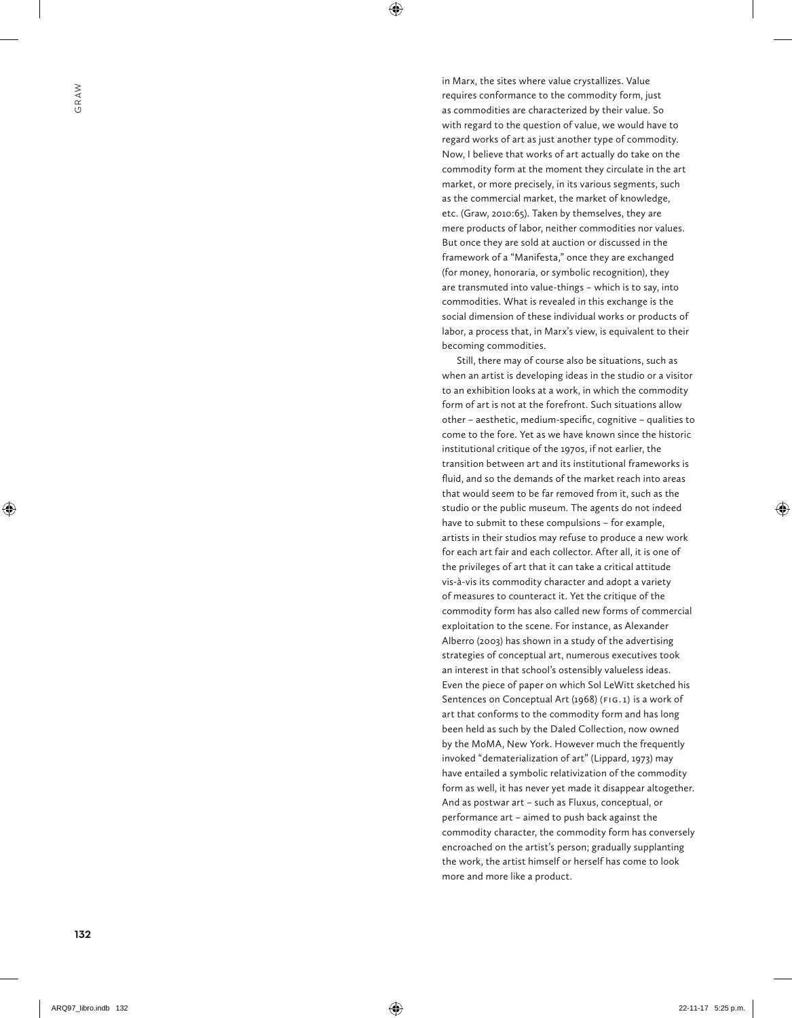in Marx, the sites where value crystallizes. Value requires conformance to the commodity form, just as commodities are characterized by their value. So with regard to the question of value, we would have to regard works of art as just another type of commodity. Now, I believe that works of art actually do take on the commodity form at the moment they circulate in the art market, or more precisely, in its various segments, such as the commercial market, the market of knowledge, etc. (Graw, 2010:65). Taken by themselves, they are mere products of labor, neither commodities nor values. But once they are sold at auction or discussed in the framework of a "Manifesta," once they are exchanged (for money, honoraria, or symbolic recognition), they are transmuted into value-things – which is to say, into commodities. What is revealed in this exchange is the social dimension of these individual works or products of labor, a process that, in Marx's view, is equivalent to their becoming commodities.

Still, there may of course also be situations, such as when an artist is developing ideas in the studio or a visitor to an exhibition looks at a work, in which the commodity form of art is not at the forefront. Such situations allow other – aesthetic, medium-specific, cognitive – qualities to come to the fore. Yet as we have known since the historic institutional critique of the 1970s, if not earlier, the transition between art and its institutional frameworks is fluid, and so the demands of the market reach into areas that would seem to be far removed from it, such as the studio or the public museum. The agents do not indeed have to submit to these compulsions – for example, artists in their studios may refuse to produce a new work for each art fair and each collector. After all, it is one of the privileges of art that it can take a critical attitude vis-à-vis its commodity character and adopt a variety of measures to counteract it. Yet the critique of the commodity form has also called new forms of commercial exploitation to the scene. For instance, as Alexander Alberro (2003) has shown in a study of the advertising strategies of conceptual art, numerous executives took an interest in that school's ostensibly valueless ideas. Even the piece of paper on which Sol LeWitt sketched his Sentences on Conceptual Art (1968) (Fig. 1) is a work of art that conforms to the commodity form and has long been held as such by the Daled Collection, now owned by the MoMA, New York. However much the frequently invoked "dematerialization of art" (Lippard, 1973) may have entailed a symbolic relativization of the commodity form as well, it has never yet made it disappear altogether. And as postwar art – such as Fluxus, conceptual, or performance art – aimed to push back against the commodity character, the commodity form has conversely encroached on the artist's person; gradually supplanting the work, the artist himself or herself has come to look more and more like a product.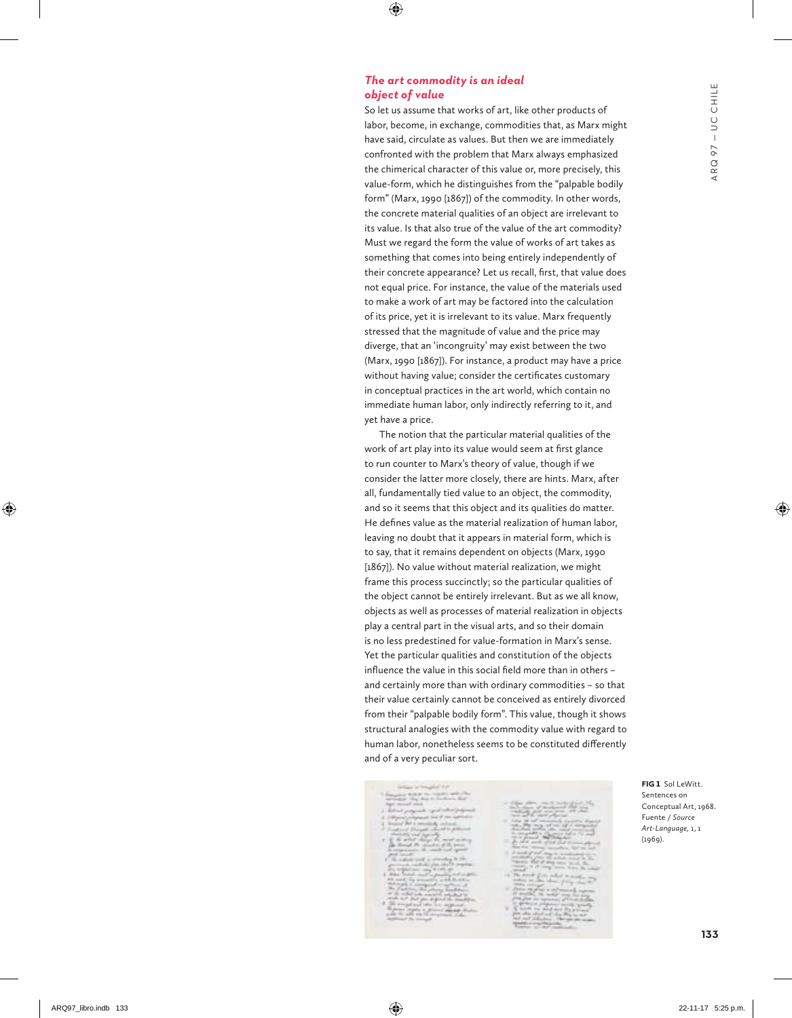# *The art commodity is an ideal object of value*

So let us assume that works of art, like other products of labor, become, in exchange, commodities that, as Marx might have said, circulate as values. But then we are immediately confronted with the problem that Marx always emphasized the chimerical character of this value or, more precisely, this value-form, which he distinguishes from the "palpable bodily form" (Marx, 1990 [1867]) of the commodity. In other words, the concrete material qualities of an object are irrelevant to its value. Is that also true of the value of the art commodity? Must we regard the form the value of works of art takes as something that comes into being entirely independently of their concrete appearance? Let us recall, first, that value does not equal price. For instance, the value of the materials used to make a work of art may be factored into the calculation of its price, yet it is irrelevant to its value. Marx frequently stressed that the magnitude of value and the price may diverge, that an 'incongruity' may exist between the two (Marx, 1990 [1867]). For instance, a product may have a price without having value; consider the certificates customary in conceptual practices in the art world, which contain no immediate human labor, only indirectly referring to it, and yet have a price.

The notion that the particular material qualities of the work of art play into its value would seem at first glance to run counter to Marx's theory of value, though if we consider the latter more closely, there are hints. Marx, after all, fundamentally tied value to an object, the commodity, and so it seems that this object and its qualities do matter. He defines value as the material realization of human labor, leaving no doubt that it appears in material form, which is to say, that it remains dependent on objects (Marx, 1990 [1867]). No value without material realization, we might frame this process succinctly; so the particular qualities of the object cannot be entirely irrelevant. But as we all know, objects as well as processes of material realization in objects play a central part in the visual arts, and so their domain is no less predestined for value-formation in Marx's sense. Yet the particular qualities and constitution of the objects influence the value in this social field more than in others – and certainly more than with ordinary commodities – so that their value certainly cannot be conceived as entirely divorced from their "palpable bodily form". This value, though it shows structural analogies with the commodity value with regard to human labor, nonetheless seems to be constituted differently and of a very peculiar sort.

- 
- 
- 
- 
- 
- 
- 
- 
- 
- 

FIG 1 Sol LeWitt. Sentences on Conceptual Art, 1968. Fuente / *Source Art-Language,* 1, 1 (1969).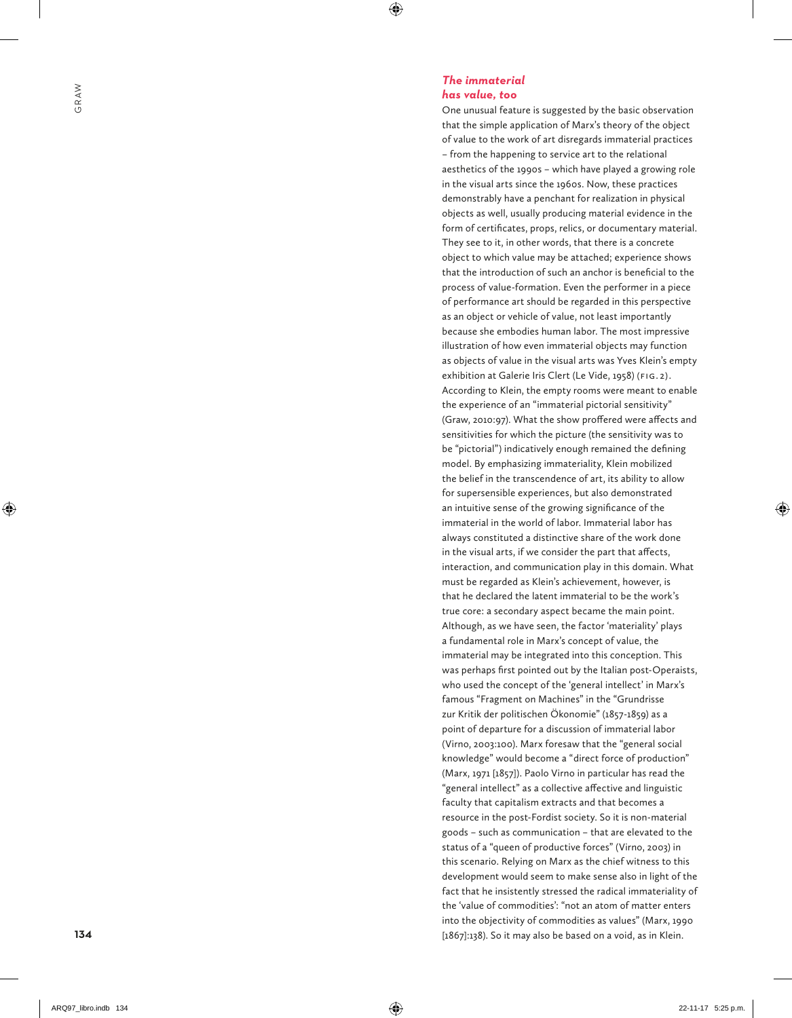## *The immaterial has value, too*

One unusual feature is suggested by the basic observation that the simple application of Marx's theory of the object of value to the work of art disregards immaterial practices – from the happening to service art to the relationa l aesthetics of the 1990s – which have played a growing rol e in the visual arts since the 1960s. Now, these practice s demonstrably have a penchant for realization in physical objects as well, usually producing material evidence in th e form of certificates, props, relics, or documentary material . They see to it, in other words, that there is a concret e object to which value may be attached; experience show s that the introduction of such an anchor is beneficial to th e process of value-formation. Even the performer in a piec e of performance art should be regarded in this perspectiv e as an object or vehicle of value, not least importantl y because she embodies human labor. The most impressiv e illustration of how even immaterial objects may functio n as objects of value in the visual arts was Yves Klein's empt y exhibition at Galerie Iris Clert (Le Vide, 1958) (Fig. 2) . According to Klein, the empty rooms were meant to enable the experience of an "immaterial pictorial sensitivity" (Graw, 2010:97). What the show proffered were affects an d sensitivities for which the picture (the sensitivity was to be "pictorial") indicatively enough remained the defining model. By emphasizing immateriality, Klein mobilized the belief in the transcendence of art, its ability to allo w for supersensible experiences, but also demonstrated an intuitive sense of the growing significance of th e immaterial in the world of labor. Immaterial labor ha s always constituted a distinctive share of the work done in the visual arts, if we consider the part that affects , interaction, and communication play in this domain. What must be regarded as Klein's achievement, however, is that he declared the latent immaterial to be the work's true core: a secondary aspect became the main point. Although, as we have seen, the factor 'materiality' plays a fundamental role in Marx's concept of value, th e immaterial may be integrated into this conception. Thi s was perhaps first pointed out by the Italian post-Operaists, who used the concept of the 'general intellect' in Marx' s famous "Fragment on Machines" in the "Grundriss e zur Kritik der politischen Ökonomie" (1857-1859) as a point of departure for a discussion of immaterial labo r (Virno, 2003:100). Marx foresaw that the "general socia l knowledge" would become a "direct force of production " (Marx, 1971 [1857]). Paolo Virno in particular has read th e "general intellect" as a collective affective and linguistic faculty that capitalism extracts and that becomes a resource in the post-Fordist society. So it is non-materia l goods – such as communication – that are elevated to th e status of a "queen of productive forces" (Virno, 2003) i n this scenario. Relying on Marx as the chief witness to thi s development would seem to make sense also in light of the fact that he insistently stressed the radical immateriality o f the 'value of commodities': "not an atom of matter enter s into the objectivity of commodities as values" (Marx, 199 0 [1867]:138). So it may also be based on a void, as in Klein.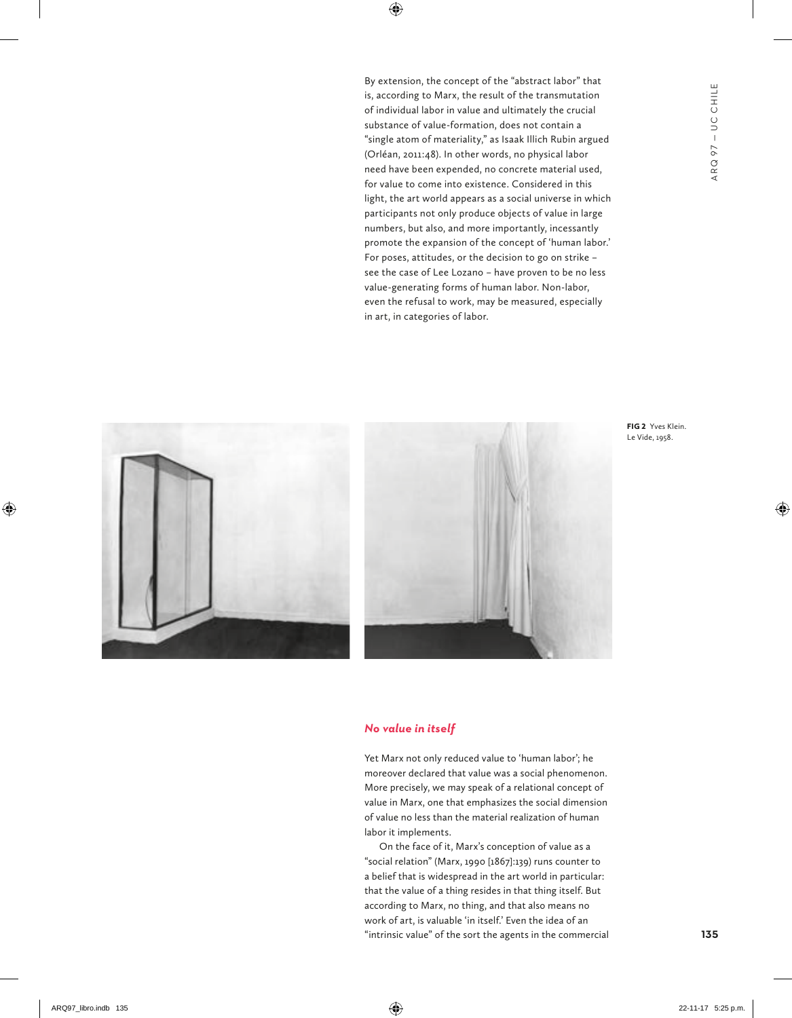By extension, the concept of the "abstract labor" that is, according to Marx, the result of the transmutation of individual labor in value and ultimately the crucial substance of value-formation, does not contain a "single atom of materiality," as Isaak Illich Rubin argued (Orléan, 2011:48). In other words, no physical labor need have been expended, no concrete material used, for value to come into existence. Considered in this light, the art world appears as a social universe in which participants not only produce objects of value in large numbers, but also, and more importantly, incessantly promote the expansion of the concept of 'human labor.' For poses, attitudes, or the decision to go on strike – see the case of Lee Lozano – have proven to be no less value-generating forms of human labor. Non-labor, even the refusal to work, may be measured, especially in art, in categories of labor.





FIG 2 Yves Klein. Le Vide, 1958.

#### *No value in itself*

Yet Marx not only reduced value to 'human labor'; he moreover declared that value was a social phenomenon. More precisely, we may speak of a relational concept of value in Marx, one that emphasizes the social dimension of value no less than the material realization of human labor it implements.

On the face of it, Marx's conception of value as a "social relation" (Marx, 1990 [1867]:139) runs counter to a belief that is widespread in the art world in particular: that the value of a thing resides in that thing itself. But according to Marx, no thing, and that also means no work of art, is valuable 'in itself.' Even the idea of an "intrinsic value" of the sort the agents in the commercial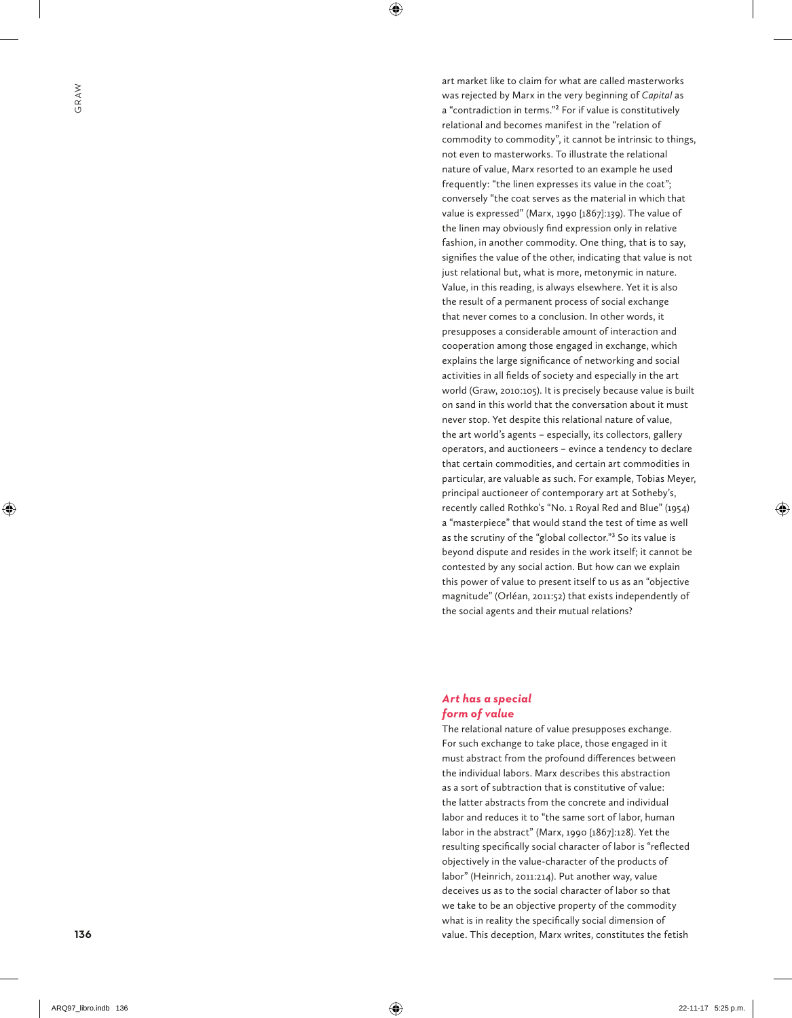GRAW **136**<br>136

a rt market like to claim for what are called masterworks was rejected by Marx in the very beginning of *Capital* as a "contradiction in terms." 2 For if value is constitutively relational and becomes manifest in the "relation of commodity to commodity", it cannot be intrinsic to things, not even to masterworks. To illustrate the relational nature of value, Marx resorted to an example he used frequently: "the linen expresses its value in the coat"; conversely "the coat serves as the material in which that value is expressed" (Marx, 1990 [1867]:139). The value of the linen may obviously find expression only in relative fashion, in another commodity. One thing, that is to say, signifies the value of the other, indicating that value is not just relational but, what is more, metonymic in nature. Value, in this reading, is always elsewhere. Yet it is also the result of a permanent process of social exchange that never comes to a conclusion. In other words, it presupposes a considerable amount of interaction and cooperation among those engaged in exchange, which explains the large significance of networking and social activities in all fields of society and especially in the art world (Graw, 2010:105). It is precisely because value is built on sand in this world that the conversation about it must never stop. Yet despite this relational nature of value, the art world's agents – especially, its collectors, gallery operators, and auctioneers – evince a tendency to declare that certain commodities, and certain art commodities in particular, are valuable as such. For example, Tobias Meyer, principal auctioneer of contemporary art at Sotheby's, recently called Rothko's "No. 1 Royal Red and Blue" (1954) a "masterpiece" that would stand the test of time as well as the scrutiny of the "global collector."3 So its value is beyond dispute and resides in the work itself; it cannot be contested by any social action. But how can we explain this power of value to present itself to us as an "objective magnitude" (Orléan, 2011:52) that exists independently of the social agents and their mutual relations?

#### *Art has a special form of value*

The relational nature of value presupposes exchange. For such exchange to take place, those engaged in it must abstract from the profound differences between the individual labors. Marx describes this abstraction as a sort of subtraction that is constitutive of value: the latter abstracts from the concrete and individual labor and reduces it to "the same sort of labor, human labor in the abstract" (Marx, 1990 [1867]:128). Yet the resulting specifically social character of labor is "reflected objectively in the value-character of the products of labor" (Heinrich, 2011:214). Put another way, value deceives us as to the social character of labor so that we take to be an objective property of the commodity what is in reality the specifically social dimension of value. This deception, Marx writes, constitutes the fetish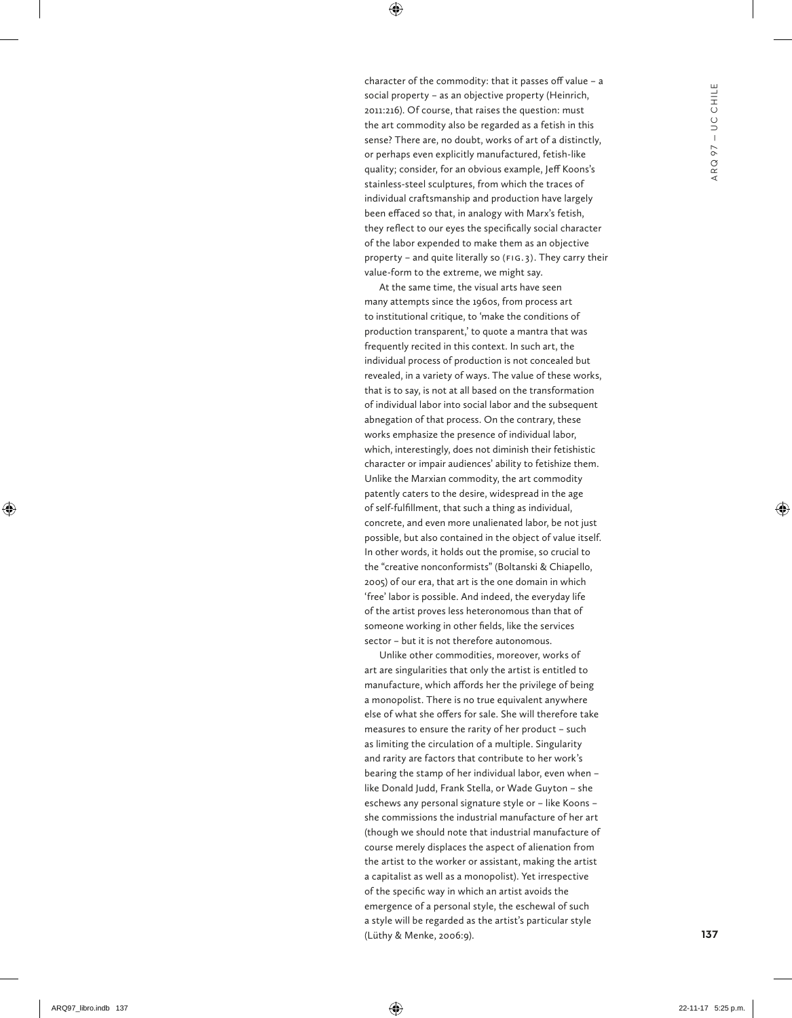character of the commodity: that it passes off value – a social property – as an objective property (Heinrich, 2011:216). Of course, that raises the question: must the art commodity also be regarded as a fetish in this sense? There are, no doubt, works of art of a distinctly, or perhaps even explicitly manufactured, fetish-like quality; consider, for an obvious example, Jeff Koons's stainless-steel sculptures, from which the traces of individual craftsmanship and production have largely been effaced so that, in analogy with Marx's fetish, they reflect to our eyes the specifically social character of the labor expended to make them as an objective property – and quite literally so ( fig. 3). They carry their value-form to the extreme, we might say.

At the same time, the visual arts have seen many attempts since the 1960s, from process art to institutional critique, to 'make the conditions of production transparent,' to quote a mantra that was frequently recited in this context. In such art, the individual process of production is not concealed but revealed, in a variety of ways. The value of these works, that is to say, is not at all based on the transformation of individual labor into social labor and the subsequent abnegation of that process. On the contrary, these works emphasize the presence of individual labor, which, interestingly, does not diminish their fetishistic character or impair audiences' ability to fetishize them. Unlike the Marxian commodity, the art commodity patently caters to the desire, widespread in the age of self-fulfillment, that such a thing as individual, concrete, and even more unalienated labor, be not just possible, but also contained in the object of value itself. In other words, it holds out the promise, so crucial to the "creative nonconformists" (Boltanski & Chiapello, 2005) of our era, that art is the one domain in which 'free' labor is possible. And indeed, the everyday life of the artist proves less heteronomous than that of someone working in other fields, like the services sector – but it is not therefore autonomous.

Unlike other commodities, moreover, works of art are singularities that only the artist is entitled to manufacture, which affords her the privilege of being a monopolist. There is no true equivalent anywhere else of what she offers for sale. She will therefore take measures to ensure the rarity of her product – such as limiting the circulation of a multiple. Singularity and rarity are factors that contribute to her work's bearing the stamp of her individual labor, even when – like Donald Judd, Frank Stella, or Wade Guyton – she eschews any personal signature style or – like Koons – she commissions the industrial manufacture of her art (though we should note that industrial manufacture of course merely displaces the aspect of alienation from the artist to the worker or assistant, making the artist a capitalist as well as a monopolist). Yet irrespective of the specific way in which an artist avoids the emergence of a personal style, the eschewal of such a style will be regarded as the artist's particular style (Lüthy & Menke, 2006:9).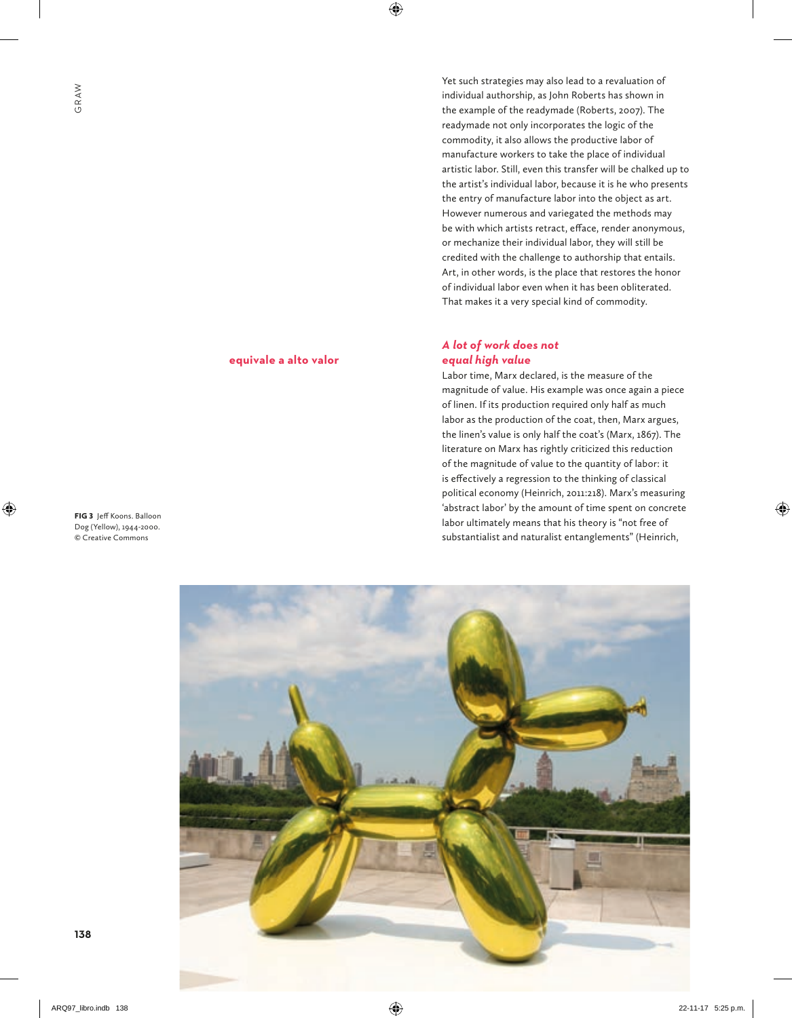**equivale a alto valor**

**FIG** 3<br>Dog<br>138⊜ Cr FIG 3 Jeff Koons. Balloon Dog (Yellow), 1944-2000. © Creative Commons



## *A lot of work does not equal high value*

Labor time, Marx declared, is the measure of the magnitude of value. His example was once again a piece of linen. If its production required only half as much labor as the production of the coat, then, Marx argues, the linen's value is only half the coat's (Marx, 1867). The literature on Marx has rightly criticized this reduction of the magnitude of value to the quantity of labor: it is effectively a regression to the thinking of classical political economy (Heinrich, 2011:218). Marx's measuring 'abstract labor' by the amount of time spent on concrete labor ultimately means that his theory is "not free of substantialist and naturalist entanglements" (Heinrich,

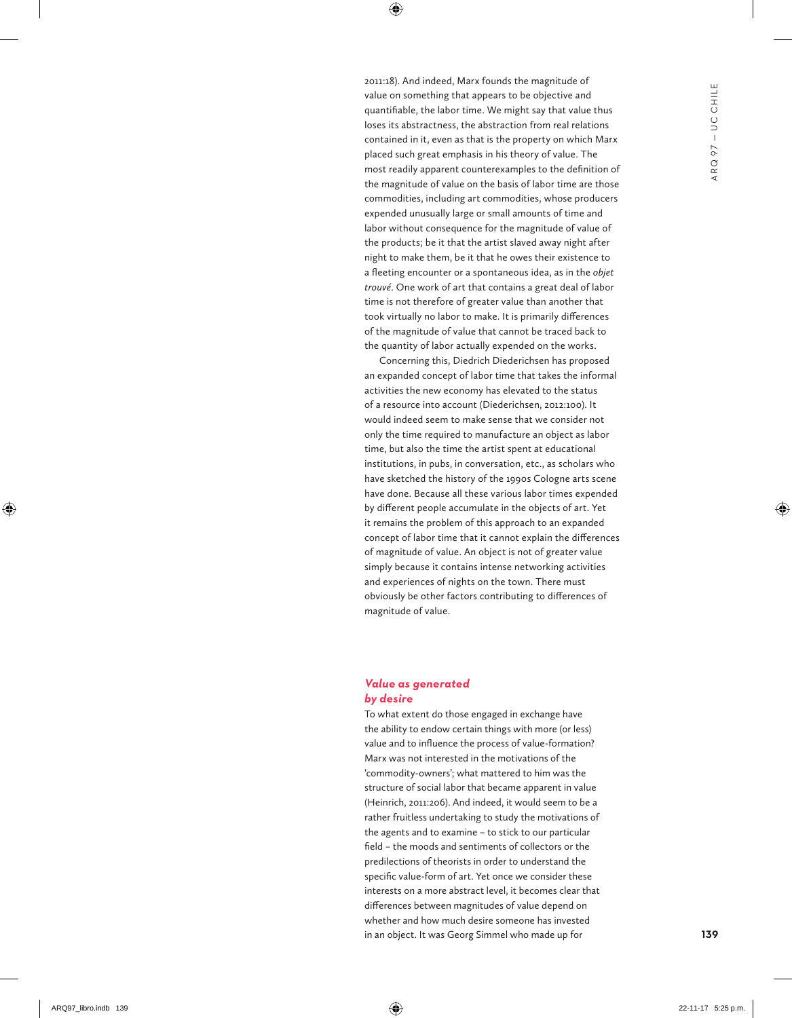2011:18). And indeed, Marx founds the magnitude of value on something that appears to be objective and quantifiable, the labor time. We might say that value thus loses its abstractness, the abstraction from real relations contained in it, even as that is the property on which Marx placed such great emphasis in his theory of value. The most readily apparent counterexamples to the definition of the magnitude of value on the basis of labor time are those commodities, including art commodities, whose producers expended unusually large or small amounts of time and labor without consequence for the magnitude of value of the products; be it that the artist slaved away night after night to make them, be it that he owes their existence to a fleeting encounter or a spontaneous idea, as in the *objet trouvé*. One work of art that contains a great deal of labor time is not therefore of greater value than another that took virtually no labor to make. It is primarily differences of the magnitude of value that cannot be traced back to the quantity of labor actually expended on the works.

Concerning this, Diedrich Diederichsen has proposed an expanded concept of labor time that takes the informal activities the new economy has elevated to the status of a resource into account (Diederichsen, 2012:100). It would indeed seem to make sense that we consider not only the time required to manufacture an object as labor time, but also the time the artist spent at educational institutions, in pubs, in conversation, etc., as scholars who have sketched the history of the 1990s Cologne arts scene have done. Because all these various labor times expended by different people accumulate in the objects of art. Yet it remains the problem of this approach to an expanded concept of labor time that it cannot explain the differences of magnitude of value. An object is not of greater value simply because it contains intense networking activities and experiences of nights on the town. There must obviously be other factors contributing to differences of magnitude of value.

# *Value as generated by desire*

To what extent do those engaged in exchange have the ability to endow certain things with more (or less) value and to influence the process of value-formation? Marx was not interested in the motivations of the 'commodity-owners'; what mattered to him was the structure of social labor that became apparent in value (Heinrich, 2011:206). And indeed, it would seem to be a rather fruitless undertaking to study the motivations of the agents and to examine – to stick to our particular field – the moods and sentiments of collectors or the predilections of theorists in order to understand the specific value-form of art. Yet once we consider these interests on a more abstract level, it becomes clear that differences between magnitudes of value depend on whether and how much desire someone has invested in an object. It was Georg Simmel who made up for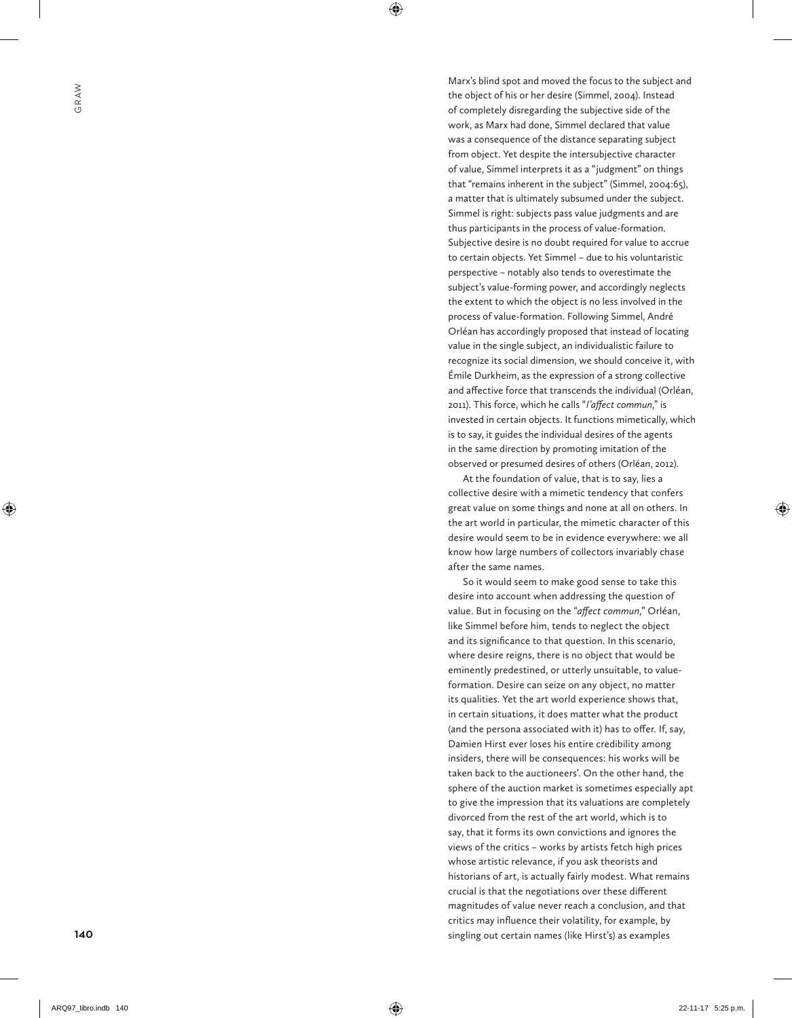Marx's blind spot and moved the focus to the subject and the object of his or her desire (Simmel, 2004). Instead of completely disregarding the subjective side of the work, as Marx had done, Simmel declared that value was a consequence of the distance separating subject from object. Yet despite the intersubjective character of value, Simmel interprets it as a "judgment" on things that "remains inherent in the subject" (Simmel, 2004:65), a matter that is ultimately subsumed under the subject. Simmel is right: subjects pass value judgments and are thus participants in the process of value-formation. Subjective desire is no doubt required for value to accrue to certain objects. Yet Simmel – due to his voluntaristic perspective – notably also tends to overestimate the subject's value-forming power, and accordingly neglects the extent to which the object is no less involved in the process of value-formation. Following Simmel, André Orléan has accordingly proposed that instead of locating value in the single subject, an individualistic failure to recognize its social dimension, we should conceive it, with Émile Durkheim, as the expression of a strong collective and affective force that transcends the individual (Orléan, 2011). This force, which he calls "*l'affect commun*," is invested in certain objects. It functions mimetically, which is to say, it guides the individual desires of the agents in the same direction by promoting imitation of the observed or presumed desires of others (Orléan, 2012).

At the foundation of value, that is to say, lies a collective desire with a mimetic tendency that confers great value on some things and none at all on others. In the art world in particular, the mimetic character of this desire would seem to be in evidence everywhere: we all know how large numbers of collectors invariably chase after the same names.

So it would seem to make good sense to take this desire into account when addressing the question of value. But in focusing on the "*affect commun*," Orléan, like Simmel before him, tends to neglect the object and its significance to that question. In this scenario, where desire reigns, there is no object that would be eminently predestined, or utterly unsuitable, to valueformation. Desire can seize on any object, no matter its qualities. Yet the art world experience shows that, in certain situations, it does matter what the product (and the persona associated with it) has to offer. If, say, Damien Hirst ever loses his entire credibility among insiders, there will be consequences: his works will be taken back to the auctioneers'. On the other hand, the sphere of the auction market is sometimes especially apt to give the impression that its valuations are completely divorced from the rest of the art world, which is to say, that it forms its own convictions and ignores the views of the critics – works by artists fetch high prices whose artistic relevance, if you ask theorists and historians of art, is actually fairly modest. What remains crucial is that the negotiations over these different magnitudes of value never reach a conclusion, and that critics may influence their volatility, for example, by singling out certain names (like Hirst's) as examples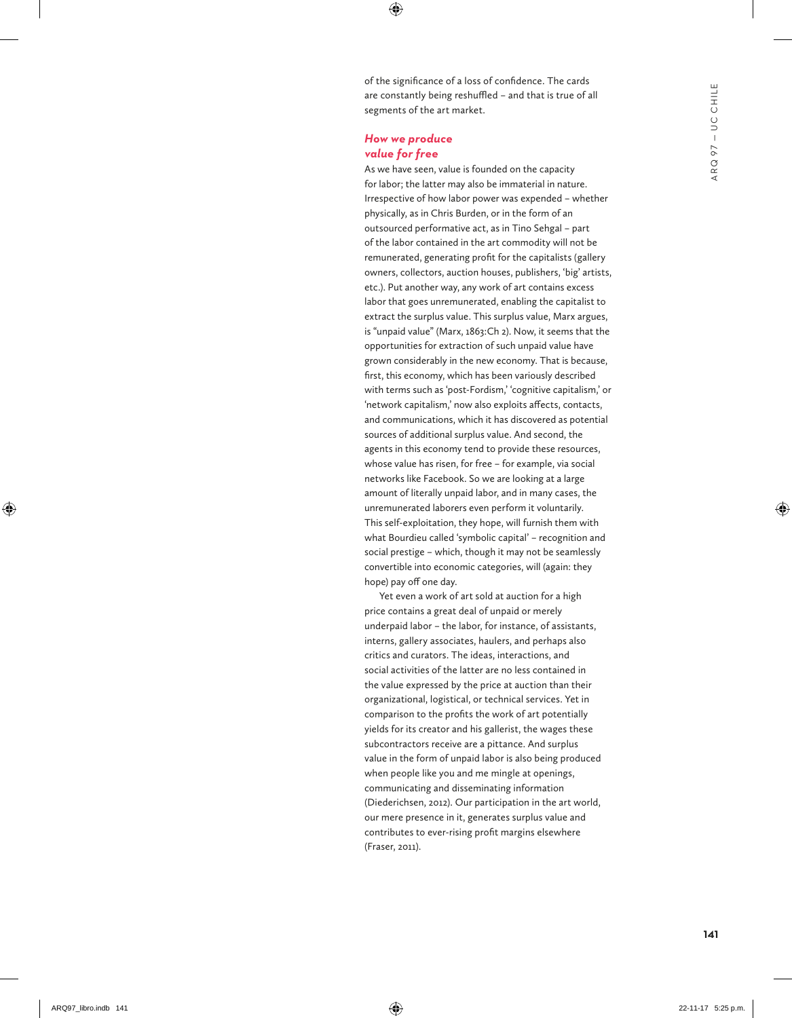of the significance of a loss of confidence. The cards are constantly being reshuffled – and that is true of all segments of the art market.

# *How we produce value for free*

As we have seen, value is founded on the capacity for labor; the latter may also be immaterial in nature. Irrespective of how labor power was expended – whether physically, as in Chris Burden, or in the form of an outsourced performative act, as in Tino Sehgal – part of the labor contained in the art commodity will not be remunerated, generating profit for the capitalists (gallery owners, collectors, auction houses, publishers, 'big' artists, etc.). Put another way, any work of art contains excess labor that goes unremunerated, enabling the capitalist to extract the surplus value. This surplus value, Marx argues, is "unpaid value" (Marx, 1863:Ch 2). Now, it seems that the opportunities for extraction of such unpaid value have grown considerably in the new economy. That is because, first, this economy, which has been variously described with terms such as 'post-Fordism,' 'cognitive capitalism,' or 'network capitalism,' now also exploits affects, contacts, and communications, which it has discovered as potential sources of additional surplus value. And second, the agents in this economy tend to provide these resources, whose value has risen, for free – for example, via social networks like Facebook. So we are looking at a large amount of literally unpaid labor, and in many cases, the unremunerated laborers even perform it voluntarily. This self-exploitation, they hope, will furnish them with what Bourdieu called 'symbolic capital' – recognition and social prestige – which, though it may not be seamlessly convertible into economic categories, will (again: they hope) pay off one day.

Yet even a work of art sold at auction for a high price contains a great deal of unpaid or merely underpaid labor – the labor, for instance, of assistants, interns, gallery associates, haulers, and perhaps also critics and curators. The ideas, interactions, and social activities of the latter are no less contained in the value expressed by the price at auction than their organizational, logistical, or technical services. Yet in comparison to the profits the work of art potentially yields for its creator and his gallerist, the wages these subcontractors receive are a pittance. And surplus value in the form of unpaid labor is also being produced when people like you and me mingle at openings, communicating and disseminating information (Diederichsen, 2012). Our participation in the art world, our mere presence in it, generates surplus value and contributes to ever-rising profit margins elsewhere (Fraser, 2011).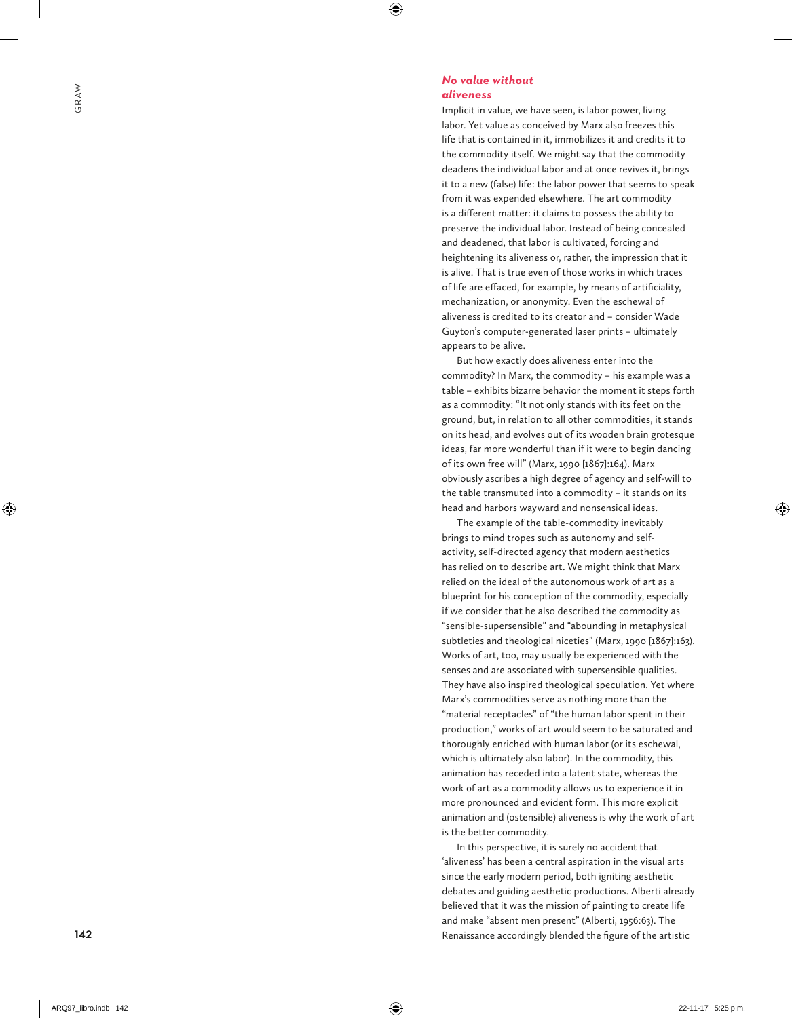#### *No value without aliveness*

Implicit in value, we have seen, is labor power, living labor. Yet value as conceived by Marx also freezes this life that is contained in it, immobilizes it and credits it to the commodity itself. We might say that the commodity deadens the individual labor and at once revives it, brings it to a new (false) life: the labor power that seems to speak from it was expended elsewhere. The art commodity is a different matter: it claims to possess the ability to preserve the individual labor. Instead of being concealed and deadened, that labor is cultivated, forcing and heightening its aliveness or, rather, the impression that it is alive. That is true even of those works in which traces of life are effaced, for example, by means of artificiality, mechanization, or anonymity. Even the eschewal of aliveness is credited to its creator and – consider Wade Guyton's computer-generated laser prints – ultimately appears to be alive.

But how exactly does aliveness enter into the commodity? In Marx, the commodity – his example was a table – exhibits bizarre behavior the moment it steps forth as a commodity: "It not only stands with its feet on the ground, but, in relation to all other commodities, it stands on its head, and evolves out of its wooden brain grotesque ideas, far more wonderful than if it were to begin dancing of its own free will" (Marx, 1990 [1867]:164). Marx obviously ascribes a high degree of agency and self-will to the table transmuted into a commodity – it stands on its head and harbors wayward and nonsensical ideas.

The example of the table-commodity inevitably brings to mind tropes such as autonomy and selfactivity, self-directed agency that modern aesthetics has relied on to describe art. We might think that Marx relied on the ideal of the autonomous work of art as a blueprint for his conception of the commodity, especially if we consider that he also described the commodity as "sensible-supersensible" and "abounding in metaphysical subtleties and theological niceties" (Marx, 1990 [1867]:163). Works of art, too, may usually be experienced with the senses and are associated with supersensible qualities. They have also inspired theological speculation. Yet where Marx's commodities serve as nothing more than the "material receptacles" of "the human labor spent in their production," works of art would seem to be saturated and thoroughly enriched with human labor (or its eschewal, which is ultimately also labor). In the commodity, this animation has receded into a latent state, whereas the work of art as a commodity allows us to experience it in more pronounced and evident form. This more explicit animation and (ostensible) aliveness is why the work of art is the better commodity.

In this perspective, it is surely no accident that 'aliveness' has been a central aspiration in the visual arts since the early modern period, both igniting aesthetic debates and guiding aesthetic productions. Alberti already believed that it was the mission of painting to create life and make "absent men present" (Alberti, 1956:63). The Renaissance accordingly blended the figure of the artistic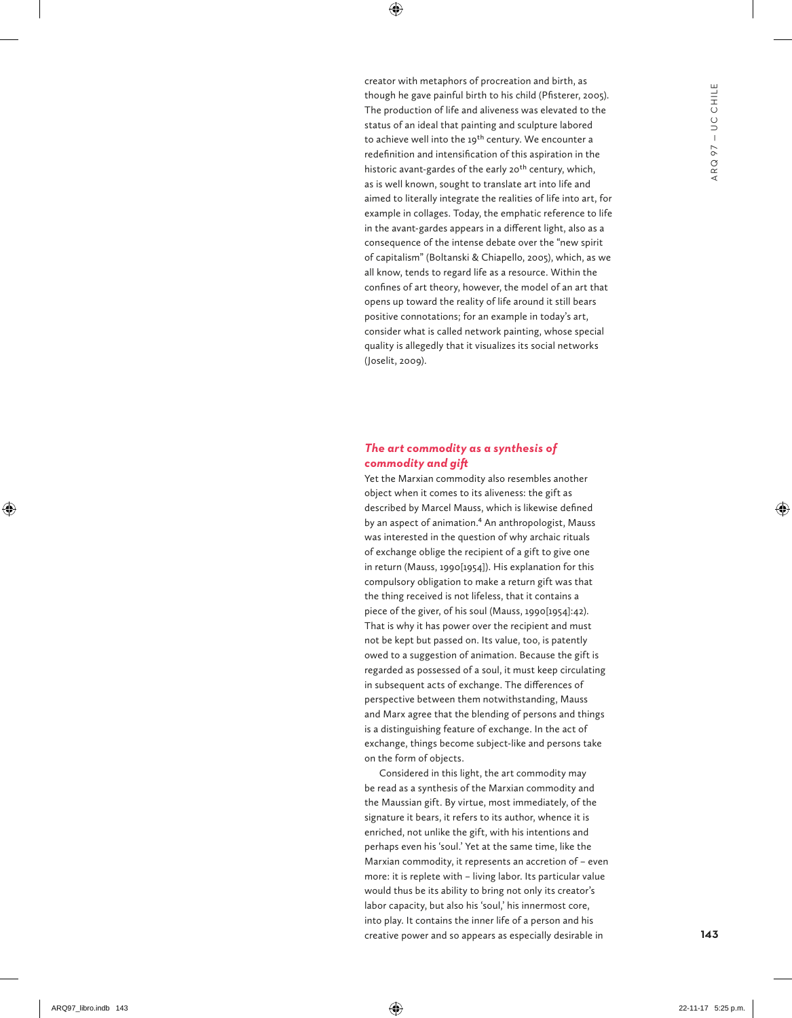creator with metaphors of procreation and birth, as though he gave painful birth to his child (Pfisterer, 2005). The production of life and aliveness was elevated to the status of an ideal that painting and sculpture labored to achieve well into the 19<sup>th</sup> century. We encounter a redefinition and intensification of this aspiration in the historic avant-gardes of the early 20<sup>th</sup> century, which, as is well known, sought to translate art into life and aimed to literally integrate the realities of life into art, for example in collages. Today, the emphatic reference to life in the avant-gardes appears in a different light, also as a consequence of the intense debate over the "new spirit of capitalism" (Boltanski & Chiapello, 2005), which, as we all know, tends to regard life as a resource. Within the confines of art theory, however, the model of an art that opens up toward the reality of life around it still bears positive connotations; for an example in today's art, consider what is called network painting, whose special quality is allegedly that it visualizes its social networks (Joselit, 2009).

# *The art commodity as a synthesis of commodity and gift*

Yet the Marxian commodity also resembles another object when it comes to its aliveness: the gift as described by Marcel Mauss, which is likewise defined by an aspect of animation.4 An anthropologist, Mauss was interested in the question of why archaic rituals of exchange oblige the recipient of a gift to give one in return (Mauss, 1990[1954]). His explanation for this compulsory obligation to make a return gift was that the thing received is not lifeless, that it contains a piece of the giver, of his soul (Mauss, 1990[1954]:42). That is why it has power over the recipient and must not be kept but passed on. Its value, too, is patently owed to a suggestion of animation. Because the gift is regarded as possessed of a soul, it must keep circulating in subsequent acts of exchange. The differences of perspective between them notwithstanding, Mauss and Marx agree that the blending of persons and things is a distinguishing feature of exchange. In the act of exchange, things become subject-like and persons take on the form of objects.

Considered in this light, the art commodity may be read as a synthesis of the Marxian commodity and the Maussian gift. By virtue, most immediately, of the signature it bears, it refers to its author, whence it is enriched, not unlike the gift, with his intentions and perhaps even his 'soul.' Yet at the same time, like the Marxian commodity, it represents an accretion of – even more: it is replete with – living labor. Its particular value would thus be its ability to bring not only its creator's labor capacity, but also his 'soul,' his innermost core, into play. It contains the inner life of a person and his creative power and so appears as especially desirable in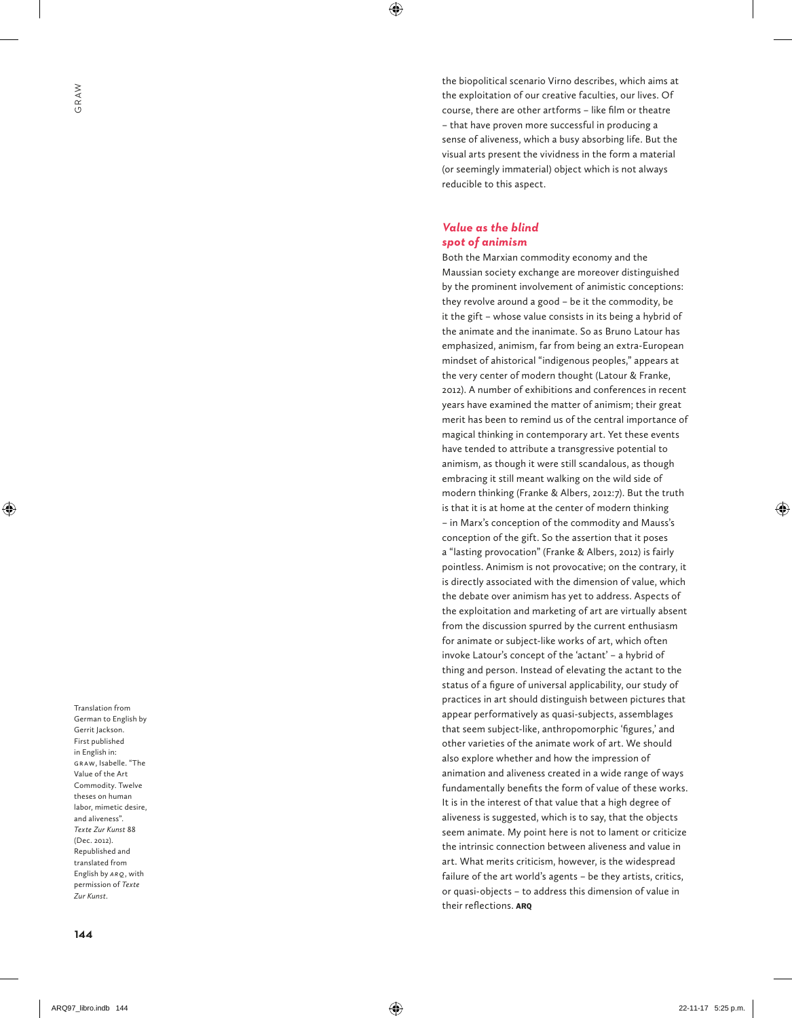the biopolitical scenario Virno describes, which aims at the exploitation of our creative faculties, our lives. Of course, there are other artforms – like film or theatre – that have proven more successful in producing a sense of aliveness, which a busy absorbing life. But th e visual arts present the vividness in the form a materia l (or seemingly immaterial) object which is not alway s reducible to this aspect.

# *Value as the blind spot of animism*

Both the Marxian commodity economy and the Maussian society exchange are moreover distinguished by the prominent involvement of animistic conceptions: they revolve around a good – be it the commodity, be it the gift – whose value consists in its being a hybrid of the animate and the inanimate. So as Bruno Latour has emphasized, animism, far from being an extra-European mindset of ahistorical "indigenous peoples," appears at the very center of modern thought (Latour & Franke, 2012). A number of exhibitions and conferences in recent years have examined the matter of animism; their great merit has been to remind us of the central importance of magical thinking in contemporary art. Yet these events have tended to attribute a transgressive potential to animism, as though it were still scandalous, as though embracing it still meant walking on the wild side of modern thinking (Franke & Albers, 2012:7). But the truth is that it is at home at the center of modern thinking – in Marx's conception of the commodity and Mauss' s conception of the gift. So the assertion that it poses a "lasting provocation" (Franke & Albers, 2012) is fairl y pointless. Animism is not provocative; on the contrary, i t is directly associated with the dimension of value, whic h the debate over animism has yet to address. Aspects o f the exploitation and marketing of art are virtually absent from the discussion spurred by the current enthusiasm for animate or subject-like works of art, which ofte n invoke Latour's concept of the 'actant' – a hybrid o f thing and person. Instead of elevating the actant to th e status of a figure of universal applicability, our study o f practices in art should distinguish between pictures that appear performatively as quasi-subjects, assemblages that seem subject-like, anthropomorphic 'figures,' and other varieties of the animate work of art. We shoul d also explore whether and how the impression o f animation and aliveness created in a wide range of way s fundamentally benefits the form of value of these works . It is in the interest of that value that a high degree o f aliveness is suggested, which is to say, that the object s seem animate. My point here is not to lament or criticiz e the intrinsic connection between aliveness and value i n art. What merits criticism, however, is the widesprea d failure of the art world's agents – be they artists, critics , or quasi-objects – to address this dimension of value i n their reflections. ARQ

Translation from German to English by Gerrit Jackson. First published in English in: Graw, Isabelle. "The Value of the Art Commodity. Twelve theses on human labor, mimetic desire, and aliveness". *Texte Zur Kunst* 88 (Dec. 2012). Republished and translated from English by *ARQ*, with permission of *Texte Zur Kunst*.